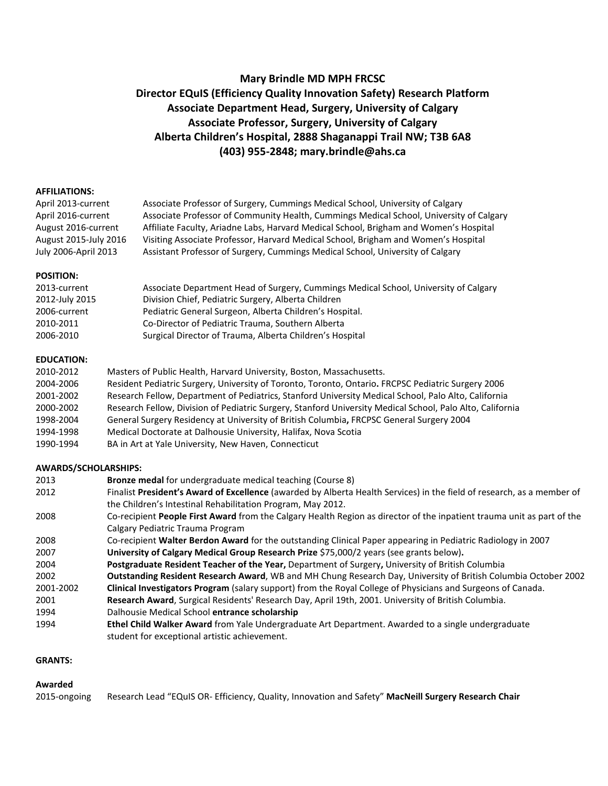# **Mary Brindle MD MPH FRCSC Director EQuIS (Efficiency Quality Innovation Safety) Research Platform Associate Department Head, Surgery, University of Calgary Associate Professor, Surgery, University of Calgary Alberta Children's Hospital, 2888 Shaganappi Trail NW; T3B 6A8 (403) 955-2848; mary.brindle@ahs.ca**

#### **AFFILIATIONS:**

April 2013-current Associate Professor of Surgery, Cummings Medical School, University of Calgary April 2016-current Associate Professor of Community Health, Cummings Medical School, University of Calgary August 2016-current Affiliate Faculty, Ariadne Labs, Harvard Medical School, Brigham and Women's Hospital August 2015-July 2016 Visiting Associate Professor, Harvard Medical School, Brigham and Women's Hospital July 2006-April 2013 Assistant Professor of Surgery, Cummings Medical School, University of Calgary

#### **POSITION:**

| 2013-current   | Associate Department Head of Surgery, Cummings Medical School, University of Calgary |
|----------------|--------------------------------------------------------------------------------------|
| 2012-July 2015 | Division Chief, Pediatric Surgery, Alberta Children                                  |
| 2006-current   | Pediatric General Surgeon, Alberta Children's Hospital.                              |
| 2010-2011      | Co-Director of Pediatric Trauma, Southern Alberta                                    |
| 2006-2010      | Surgical Director of Trauma, Alberta Children's Hospital                             |

#### **EDUCATION:**

| 2010-2012 | Masters of Public Health, Harvard University, Boston, Massachusetts.                                      |
|-----------|-----------------------------------------------------------------------------------------------------------|
| 2004-2006 | Resident Pediatric Surgery, University of Toronto, Toronto, Ontario. FRCPSC Pediatric Surgery 2006        |
| 2001-2002 | Research Fellow, Department of Pediatrics, Stanford University Medical School, Palo Alto, California      |
| 2000-2002 | Research Fellow, Division of Pediatric Surgery, Stanford University Medical School, Palo Alto, California |
| 1998-2004 | General Surgery Residency at University of British Columbia, FRCPSC General Surgery 2004                  |
| 1994-1998 | Medical Doctorate at Dalhousie University, Halifax, Nova Scotia                                           |
| 1990-1994 | BA in Art at Yale University, New Haven, Connecticut                                                      |

#### **AWARDS/SCHOLARSHIPS:**

| 2013      | <b>Bronze medal for undergraduate medical teaching (Course 8)</b>                                                      |
|-----------|------------------------------------------------------------------------------------------------------------------------|
| 2012      | Finalist President's Award of Excellence (awarded by Alberta Health Services) in the field of research, as a member of |
|           | the Children's Intestinal Rehabilitation Program, May 2012.                                                            |
| 2008      | Co-recipient People First Award from the Calgary Health Region as director of the inpatient trauma unit as part of the |
|           | Calgary Pediatric Trauma Program                                                                                       |
| 2008      | Co-recipient Walter Berdon Award for the outstanding Clinical Paper appearing in Pediatric Radiology in 2007           |
| 2007      | University of Calgary Medical Group Research Prize \$75,000/2 years (see grants below).                                |
| 2004      | Postgraduate Resident Teacher of the Year, Department of Surgery, University of British Columbia                       |
| 2002      | Outstanding Resident Research Award, WB and MH Chung Research Day, University of British Columbia October 2002         |
| 2001-2002 | Clinical Investigators Program (salary support) from the Royal College of Physicians and Surgeons of Canada.           |
| 2001      | Research Award, Surgical Residents' Research Day, April 19th, 2001. University of British Columbia.                    |
| 1994      | Dalhousie Medical School entrance scholarship                                                                          |
| 1994      | Ethel Child Walker Award from Yale Undergraduate Art Department. Awarded to a single undergraduate                     |
|           | student for exceptional artistic achievement.                                                                          |
|           |                                                                                                                        |

# **GRANTS:**

#### **Awarded**

2015-ongoing Research Lead "EQuIS OR- Efficiency, Quality, Innovation and Safety" **MacNeill Surgery Research Chair**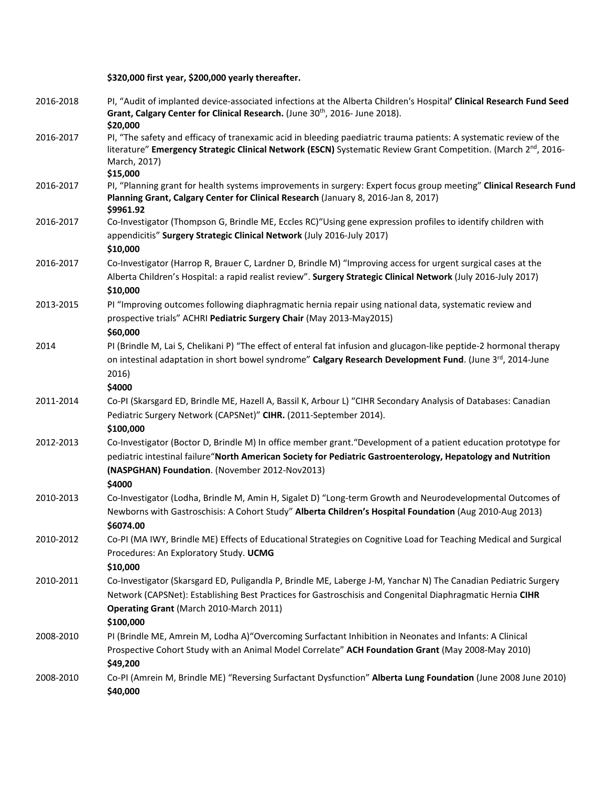**\$320,000 first year, \$200,000 yearly thereafter.**

| 2016-2018 | PI, "Audit of implanted device-associated infections at the Alberta Children's Hospital' Clinical Research Fund Seed<br>Grant, Calgary Center for Clinical Research. (June 30 <sup>th</sup> , 2016- June 2018).<br>\$20,000                                                                 |
|-----------|---------------------------------------------------------------------------------------------------------------------------------------------------------------------------------------------------------------------------------------------------------------------------------------------|
| 2016-2017 | PI, "The safety and efficacy of tranexamic acid in bleeding paediatric trauma patients: A systematic review of the<br>literature" Emergency Strategic Clinical Network (ESCN) Systematic Review Grant Competition. (March 2nd, 2016-<br>March, 2017)<br>\$15,000                            |
| 2016-2017 | PI, "Planning grant for health systems improvements in surgery: Expert focus group meeting" Clinical Research Fund<br>Planning Grant, Calgary Center for Clinical Research (January 8, 2016-Jan 8, 2017)<br>\$9961.92                                                                       |
| 2016-2017 | Co-Investigator (Thompson G, Brindle ME, Eccles RC)"Using gene expression profiles to identify children with<br>appendicitis" Surgery Strategic Clinical Network (July 2016-July 2017)<br>\$10,000                                                                                          |
| 2016-2017 | Co-Investigator (Harrop R, Brauer C, Lardner D, Brindle M) "Improving access for urgent surgical cases at the<br>Alberta Children's Hospital: a rapid realist review". Surgery Strategic Clinical Network (July 2016-July 2017)<br>\$10,000                                                 |
| 2013-2015 | PI "Improving outcomes following diaphragmatic hernia repair using national data, systematic review and<br>prospective trials" ACHRI Pediatric Surgery Chair (May 2013-May2015)<br>\$60,000                                                                                                 |
| 2014      | PI (Brindle M, Lai S, Chelikani P) "The effect of enteral fat infusion and glucagon-like peptide-2 hormonal therapy<br>on intestinal adaptation in short bowel syndrome" Calgary Research Development Fund. (June 3rd, 2014-June<br>2016)<br>\$4000                                         |
| 2011-2014 | Co-PI (Skarsgard ED, Brindle ME, Hazell A, Bassil K, Arbour L) "CIHR Secondary Analysis of Databases: Canadian<br>Pediatric Surgery Network (CAPSNet)" CIHR. (2011-September 2014).<br>\$100,000                                                                                            |
| 2012-2013 | Co-Investigator (Boctor D, Brindle M) In office member grant. "Development of a patient education prototype for<br>pediatric intestinal failure"North American Society for Pediatric Gastroenterology, Hepatology and Nutrition<br>(NASPGHAN) Foundation. (November 2012-Nov2013)<br>\$4000 |
| 2010-2013 | Co-Investigator (Lodha, Brindle M, Amin H, Sigalet D) "Long-term Growth and Neurodevelopmental Outcomes of<br>Newborns with Gastroschisis: A Cohort Study" Alberta Children's Hospital Foundation (Aug 2010-Aug 2013)<br>\$6074.00                                                          |
| 2010-2012 | Co-PI (MA IWY, Brindle ME) Effects of Educational Strategies on Cognitive Load for Teaching Medical and Surgical<br>Procedures: An Exploratory Study. UCMG<br>\$10,000                                                                                                                      |
| 2010-2011 | Co-Investigator (Skarsgard ED, Puligandla P, Brindle ME, Laberge J-M, Yanchar N) The Canadian Pediatric Surgery<br>Network (CAPSNet): Establishing Best Practices for Gastroschisis and Congenital Diaphragmatic Hernia CIHR<br>Operating Grant (March 2010-March 2011)<br>\$100,000        |
| 2008-2010 | PI (Brindle ME, Amrein M, Lodha A) "Overcoming Surfactant Inhibition in Neonates and Infants: A Clinical<br>Prospective Cohort Study with an Animal Model Correlate" ACH Foundation Grant (May 2008-May 2010)<br>\$49,200                                                                   |
| 2008-2010 | Co-PI (Amrein M, Brindle ME) "Reversing Surfactant Dysfunction" Alberta Lung Foundation (June 2008 June 2010)<br>\$40,000                                                                                                                                                                   |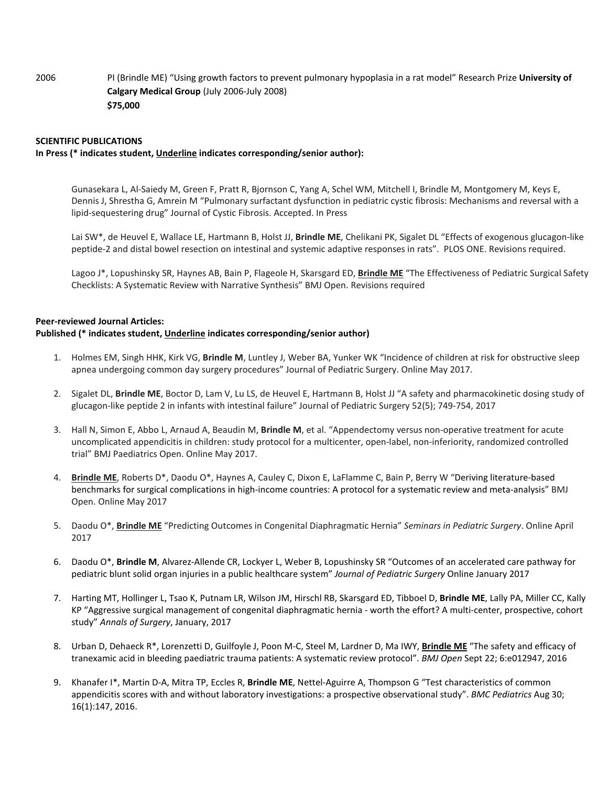2006 PI (Brindle ME) "Using growth factors to prevent pulmonary hypoplasia in a rat model" Research Prize **University of Calgary Medical Group** (July 2006-July 2008) **\$75,000** 

#### **SCIENTIFIC PUBLICATIONS**

#### **In Press (\* indicates student, Underline indicates corresponding/senior author):**

Gunasekara L, Al-Saiedy M, Green F, Pratt R, Bjornson C, Yang A, Schel WM, Mitchell I, Brindle M, Montgomery M, Keys E, Dennis J, Shrestha G, Amrein M "Pulmonary surfactant dysfunction in pediatric cystic fibrosis: Mechanisms and reversal with a lipid-sequestering drug" Journal of Cystic Fibrosis. Accepted. In Press

Lai SW\*, de Heuvel E, Wallace LE, Hartmann B, Holst JJ, **Brindle ME**, Chelikani PK, Sigalet DL "Effects of exogenous glucagon-like peptide-2 and distal bowel resection on intestinal and systemic adaptive responses in rats". PLOS ONE. Revisions required.

Lagoo J\*, Lopushinsky SR, Haynes AB, Bain P, Flageole H, Skarsgard ED, **Brindle ME** "The Effectiveness of Pediatric Surgical Safety Checklists: A Systematic Review with Narrative Synthesis" BMJ Open. Revisions required

#### **Peer-reviewed Journal Articles:**

#### **Published (\* indicates student, Underline indicates corresponding/senior author)**

- 1. Holmes EM, Singh HHK, Kirk VG, **Brindle M**, Luntley J, Weber BA, Yunker WK "Incidence of children at risk for obstructive sleep apnea undergoing common day surgery procedures" Journal of Pediatric Surgery. Online May 2017.
- 2. Sigalet DL, **Brindle ME**, Boctor D, Lam V, Lu LS, de Heuvel E, Hartmann B, Holst JJ "A safety and pharmacokinetic dosing study of glucagon-like peptide 2 in infants with intestinal failure" Journal of Pediatric Surgery 52(5); 749-754, 2017
- 3. Hall N, Simon E, Abbo L, Arnaud A, Beaudin M, **Brindle M**, et al. "Appendectomy versus non-operative treatment for acute uncomplicated appendicitis in children: study protocol for a multicenter, open-label, non-inferiority, randomized controlled trial" BMJ Paediatrics Open. Online May 2017.
- 4. **Brindle ME**, Roberts D\*, Daodu O\*, Haynes A, Cauley C, Dixon E, LaFlamme C, Bain P, Berry W "Deriving literature-based benchmarks for surgical complications in high-income countries: A protocol for a systematic review and meta-analysis" BMJ Open. Online May 2017
- 5. Daodu O\*, **Brindle ME** "Predicting Outcomes in Congenital Diaphragmatic Hernia" *Seminars in Pediatric Surgery*. Online April 2017
- 6. Daodu O\*, **Brindle M**, Alvarez-Allende CR, Lockyer L, Weber B, Lopushinsky SR "Outcomes of an accelerated care pathway for pediatric blunt solid organ injuries in a public healthcare system" *Journal of Pediatric Surgery* Online January 2017
- 7. Harting MT, Hollinger L, Tsao K, Putnam LR, Wilson JM, Hirschl RB, Skarsgard ED, Tibboel D, **Brindle ME**, Lally PA, Miller CC, Kally KP "Aggressive surgical management of congenital diaphragmatic hernia - worth the effort? A multi-center, prospective, cohort study" *Annals of Surgery*, January, 2017
- 8. Urban D, Dehaeck R\*, Lorenzetti D, Guilfoyle J, Poon M-C, Steel M, Lardner D, Ma IWY, **Brindle ME** "The safety and efficacy of tranexamic acid in bleeding paediatric trauma patients: A systematic review protocol". *BMJ Open* Sept 22; 6:e012947, 2016
- 9. Khanafer I\*, Martin D-A, Mitra TP, Eccles R, **Brindle ME**, Nettel-Aguirre A, Thompson G "Test characteristics of common appendicitis scores with and without laboratory investigations: a prospective observational study". *BMC Pediatrics* Aug 30; 16(1):147, 2016.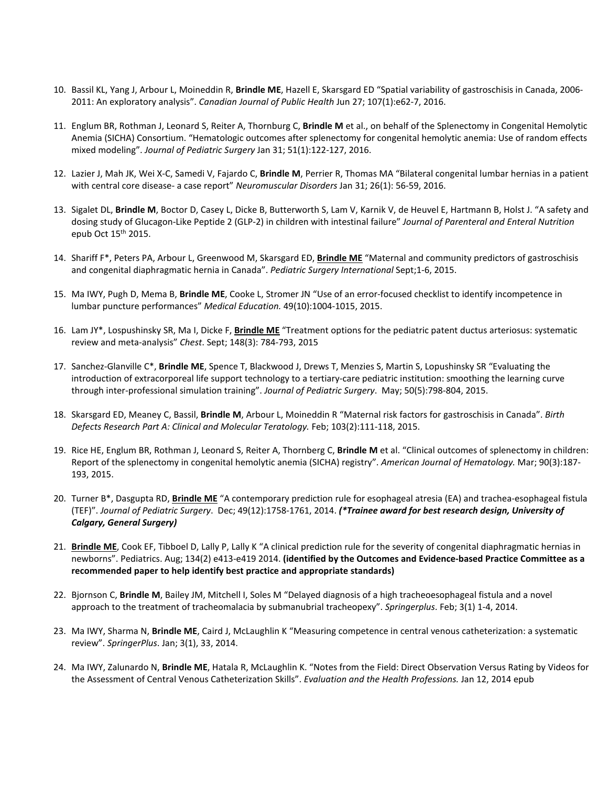- 10. Bassil KL, Yang J, Arbour L, Moineddin R, **Brindle ME**, Hazell E, Skarsgard ED "Spatial variability of gastroschisis in Canada, 2006- 2011: An exploratory analysis". *Canadian Journal of Public Health* Jun 27; 107(1):e62-7, 2016.
- 11. Englum BR, Rothman J, Leonard S, Reiter A, Thornburg C, **Brindle M** et al., on behalf of the Splenectomy in Congenital Hemolytic Anemia (SICHA) Consortium. "Hematologic outcomes after splenectomy for congenital hemolytic anemia: Use of random effects mixed modeling". *Journal of Pediatric Surgery* Jan 31; 51(1):122-127, 2016.
- 12. Lazier J, Mah JK, Wei X-C, Samedi V, Fajardo C, **Brindle M**, Perrier R, Thomas MA "Bilateral congenital lumbar hernias in a patient with central core disease- a case report" *Neuromuscular Disorders* Jan 31; 26(1): 56-59, 2016.
- 13. Sigalet DL, **Brindle M**, Boctor D, Casey L, Dicke B, Butterworth S, Lam V, Karnik V, de Heuvel E, Hartmann B, Holst J. "A safety and dosing study of Glucagon-Like Peptide 2 (GLP-2) in children with intestinal failure" *Journal of Parenteral and Enteral Nutrition* epub Oct 15th 2015.
- 14. Shariff F\*, Peters PA, Arbour L, Greenwood M, Skarsgard ED, **Brindle ME** "Maternal and community predictors of gastroschisis and congenital diaphragmatic hernia in Canada". *Pediatric Surgery International* Sept;1-6, 2015.
- 15. Ma IWY, Pugh D, Mema B, **Brindle ME**, Cooke L, Stromer JN "Use of an error-focused checklist to identify incompetence in lumbar puncture performances" *Medical Education.* 49(10):1004-1015, 2015.
- 16. Lam JY\*, Lospushinsky SR, Ma I, Dicke F, **Brindle ME** "Treatment options for the pediatric patent ductus arteriosus: systematic review and meta-analysis" *Chest*. Sept; 148(3): 784-793, 2015
- 17. Sanchez-Glanville C\*, **Brindle ME**, Spence T, Blackwood J, Drews T, Menzies S, Martin S, Lopushinsky SR "Evaluating the introduction of extracorporeal life support technology to a tertiary-care pediatric institution: smoothing the learning curve through inter-professional simulation training". *Journal of Pediatric Surgery*. May; 50(5):798-804, 2015.
- 18. Skarsgard ED, Meaney C, Bassil, **Brindle M**, Arbour L, Moineddin R "Maternal risk factors for gastroschisis in Canada". *Birth Defects Research Part A: Clinical and Molecular Teratology.* Feb; 103(2):111-118, 2015.
- 19. Rice HE, Englum BR, Rothman J, Leonard S, Reiter A, Thornberg C, **Brindle M** et al. "Clinical outcomes of splenectomy in children: Report of the splenectomy in congenital hemolytic anemia (SICHA) registry". *American Journal of Hematology.* Mar; 90(3):187- 193, 2015.
- 20. Turner B\*, Dasgupta RD, **Brindle ME** "A contemporary prediction rule for esophageal atresia (EA) and trachea-esophageal fistula (TEF)". *Journal of Pediatric Surgery*. Dec; 49(12):1758-1761, 2014. *(\*Trainee award for best research design, University of Calgary, General Surgery)*
- 21. **Brindle ME**, Cook EF, Tibboel D, Lally P, Lally K "A clinical prediction rule for the severity of congenital diaphragmatic hernias in newborns". Pediatrics. Aug; 134(2) e413-e419 2014. **(identified by the Outcomes and Evidence-based Practice Committee as a recommended paper to help identify best practice and appropriate standards)**
- 22. Bjornson C, **Brindle M**, Bailey JM, Mitchell I, Soles M "Delayed diagnosis of a high tracheoesophageal fistula and a novel approach to the treatment of tracheomalacia by submanubrial tracheopexy". *Springerplus*. Feb; 3(1) 1-4, 2014.
- 23. Ma IWY, Sharma N, **Brindle ME**, Caird J, McLaughlin K "Measuring competence in central venous catheterization: a systematic review". *SpringerPlus*. Jan; 3(1), 33, 2014.
- 24. Ma IWY, Zalunardo N, **Brindle ME**, Hatala R, McLaughlin K. "Notes from the Field: Direct Observation Versus Rating by Videos for the Assessment of Central Venous Catheterization Skills". *Evaluation and the Health Professions.* Jan 12, 2014 epub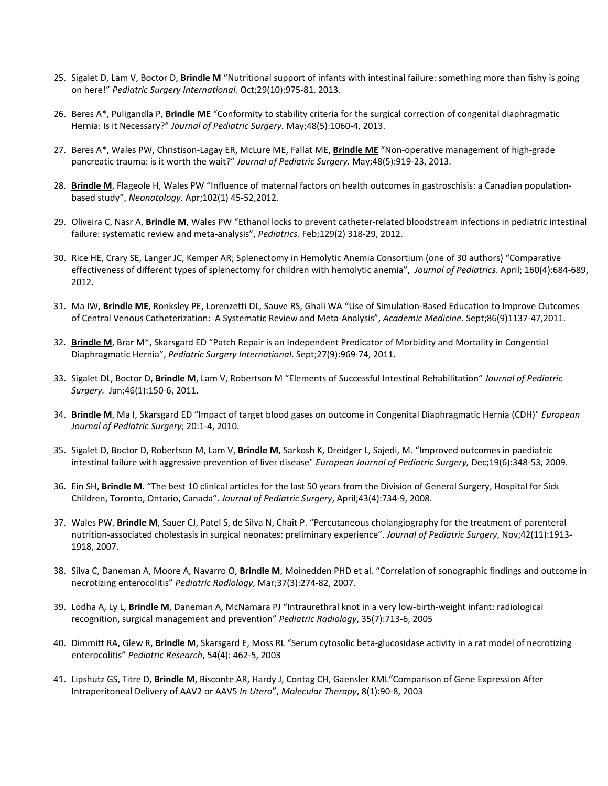- 25. Sigalet D, Lam V, Boctor D, **Brindle M** "Nutritional support of infants with intestinal failure: something more than fishy is going on here!" *Pediatric Surgery International.* Oct;29(10):975-81, 2013.
- 26. Beres A\*, Puligandla P, **Brindle ME** "Conformity to stability criteria for the surgical correction of congenital diaphragmatic Hernia: Is it Necessary?" *Journal of Pediatric Surgery.* May;48(5):1060-4, 2013.
- 27. Beres A\*, Wales PW, Christison-Lagay ER, McLure ME, Fallat ME, **Brindle ME** "Non-operative management of high-grade pancreatic trauma: is it worth the wait?" *Journal of Pediatric Surgery*. May;48(5):919-23, 2013.
- 28. **Brindle M**, Flageole H, Wales PW "Influence of maternal factors on health outcomes in gastroschisis: a Canadian populationbased study", *Neonatology.* Apr;102(1) 45-52,2012.
- 29. Oliveira C, Nasr A, **Brindle M**, Wales PW "Ethanol locks to prevent catheter-related bloodstream infections in pediatric intestinal failure: systematic review and meta-analysis", *Pediatrics.* Feb;129(2) 318-29, 2012.
- 30. Rice HE, Crary SE, Langer JC, Kemper AR; Splenectomy in Hemolytic Anemia Consortium (one of 30 authors) "Comparative effectiveness of different types of splenectomy for children with hemolytic anemia", *Journal of Pediatrics*. April; 160(4):684-689, 2012.
- 31. Ma IW, **Brindle ME**, Ronksley PE, Lorenzetti DL, Sauve RS, Ghali WA "Use of Simulation-Based Education to Improve Outcomes of Central Venous Catheterization: A Systematic Review and Meta-Analysis", *Academic Medicine*. Sept;86(9)1137-47,2011.
- 32. **Brindle M**, Brar M\*, Skarsgard ED "Patch Repair is an Independent Predicator of Morbidity and Mortality in Congential Diaphragmatic Hernia", *Pediatric Surgery International*. Sept;27(9):969-74, 2011.
- 33. Sigalet DL, Boctor D, **Brindle M**, Lam V, Robertson M "Elements of Successful Intestinal Rehabilitation" *Journal of Pediatric Surgery.* Jan;46(1):150-6, 2011.
- 34. **Brindle M**, Ma I, Skarsgard ED "Impact of target blood gases on outcome in Congenital Diaphragmatic Hernia (CDH)" *European Journal of Pediatric Surgery*; 20:1-4, 2010.
- 35. Sigalet D, Boctor D, Robertson M, Lam V, **Brindle M**, Sarkosh K, Dreidger L, Sajedi, M. "Improved outcomes in paediatric intestinal failure with aggressive prevention of liver disease" *European Journal of Pediatric Surgery,* Dec;19(6):348-53, 2009.
- 36. Ein SH, **Brindle M**. "The best 10 clinical articles for the last 50 years from the Division of General Surgery, Hospital for Sick Children, Toronto, Ontario, Canada". *Journal of Pediatric Surgery*, April;43(4):734-9, 2008.
- 37. Wales PW, **Brindle M**, Sauer CJ, Patel S, de Silva N, Chait P. "Percutaneous cholangiography for the treatment of parenteral nutrition-associated cholestasis in surgical neonates: preliminary experience". *Journal of Pediatric Surgery*, Nov;42(11):1913- 1918, 2007.
- 38. Silva C, Daneman A, Moore A, Navarro O, **Brindle M**, Moinedden PHD et al. "Correlation of sonographic findings and outcome in necrotizing enterocolitis" *Pediatric Radiology*, Mar;37(3):274-82, 2007.
- 39. Lodha A, Ly L, **Brindle M**, Daneman A, McNamara PJ "Intraurethral knot in a very low-birth-weight infant: radiological recognition, surgical management and prevention" *Pediatric Radiology*, 35(7):713-6, 2005
- 40. Dimmitt RA, Glew R, **Brindle M**, Skarsgard E, Moss RL "Serum cytosolic beta-glucosidase activity in a rat model of necrotizing enterocolitis" *Pediatric Research*, 54(4): 462-5, 2003
- 41. Lipshutz GS, Titre D, **Brindle M**, Bisconte AR, Hardy J, Contag CH, Gaensler KML"Comparison of Gene Expression After Intraperitoneal Delivery of AAV2 or AAV5 *In Utero*", *Molecular Therapy*, 8(1):90-8, 2003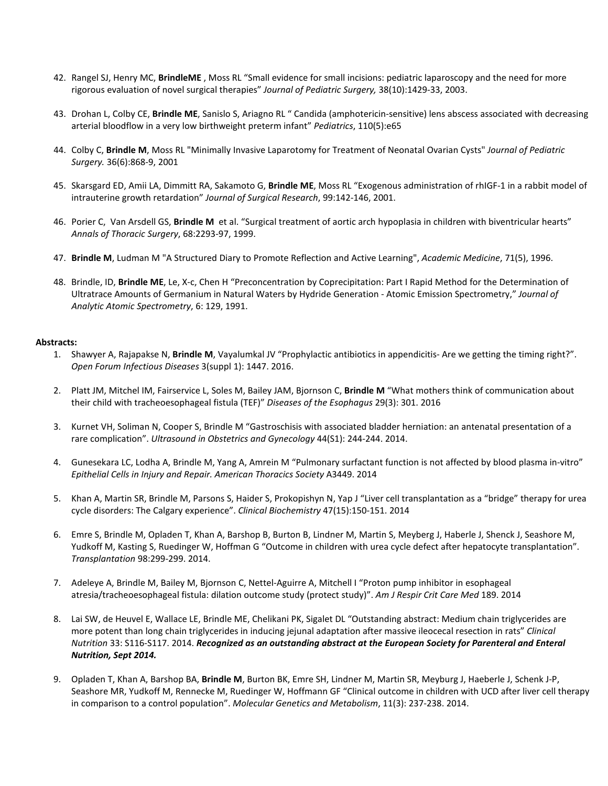- 42. Rangel SJ, Henry MC, **BrindleME** , Moss RL "Small evidence for small incisions: pediatric laparoscopy and the need for more rigorous evaluation of novel surgical therapies" *Journal of Pediatric Surgery,* 38(10):1429-33, 2003.
- 43. Drohan L, Colby CE, **Brindle ME**, Sanislo S, Ariagno RL " Candida (amphotericin-sensitive) lens abscess associated with decreasing arterial bloodflow in a very low birthweight preterm infant" *Pediatrics*, 110(5):e65
- 44. Colby C, **Brindle M**, Moss RL "Minimally Invasive Laparotomy for Treatment of Neonatal Ovarian Cysts" *Journal of Pediatric Surgery.* 36(6):868-9, 2001
- 45. Skarsgard ED, Amii LA, Dimmitt RA, Sakamoto G, **Brindle ME**, Moss RL "Exogenous administration of rhIGF-1 in a rabbit model of intrauterine growth retardation" *Journal of Surgical Research*, 99:142-146, 2001.
- 46. Porier C, Van Arsdell GS, **Brindle M** et al. "Surgical treatment of aortic arch hypoplasia in children with biventricular hearts" *Annals of Thoracic Surgery*, 68:2293-97, 1999.
- 47. **Brindle M**, Ludman M "A Structured Diary to Promote Reflection and Active Learning", *Academic Medicine*, 71(5), 1996.
- 48. Brindle, ID, **Brindle ME**, Le, X-c, Chen H "Preconcentration by Coprecipitation: Part I Rapid Method for the Determination of Ultratrace Amounts of Germanium in Natural Waters by Hydride Generation - Atomic Emission Spectrometry," *Journal of Analytic Atomic Spectrometry*, 6: 129, 1991.

#### **Abstracts:**

- 1. Shawyer A, Rajapakse N, **Brindle M**, Vayalumkal JV "Prophylactic antibiotics in appendicitis- Are we getting the timing right?". *Open Forum Infectious Diseases* 3(suppl 1): 1447. 2016.
- 2. Platt JM, Mitchel IM, Fairservice L, Soles M, Bailey JAM, Bjornson C, **Brindle M** "What mothers think of communication about their child with tracheoesophageal fistula (TEF)" *Diseases of the Esophagus* 29(3): 301. 2016
- 3. Kurnet VH, Soliman N, Cooper S, Brindle M "Gastroschisis with associated bladder herniation: an antenatal presentation of a rare complication". *Ultrasound in Obstetrics and Gynecology* 44(S1): 244-244. 2014.
- 4. Gunesekara LC, Lodha A, Brindle M, Yang A, Amrein M "Pulmonary surfactant function is not affected by blood plasma in-vitro" *Epithelial Cells in Injury and Repair. American Thoracics Society* A3449. 2014
- 5. Khan A, Martin SR, Brindle M, Parsons S, Haider S, Prokopishyn N, Yap J "Liver cell transplantation as a "bridge" therapy for urea cycle disorders: The Calgary experience". *Clinical Biochemistry* 47(15):150-151. 2014
- 6. Emre S, Brindle M, Opladen T, Khan A, Barshop B, Burton B, Lindner M, Martin S, Meyberg J, Haberle J, Shenck J, Seashore M, Yudkoff M, Kasting S, Ruedinger W, Hoffman G "Outcome in children with urea cycle defect after hepatocyte transplantation". *Transplantation* 98:299-299. 2014.
- 7. Adeleye A, Brindle M, Bailey M, Bjornson C, Nettel-Aguirre A, Mitchell I "Proton pump inhibitor in esophageal atresia/tracheoesophageal fistula: dilation outcome study (protect study)". *Am J Respir Crit Care Med* 189. 2014
- 8. Lai SW, de Heuvel E, Wallace LE, Brindle ME, Chelikani PK, Sigalet DL "Outstanding abstract: Medium chain triglycerides are more potent than long chain triglycerides in inducing jejunal adaptation after massive ileocecal resection in rats" *Clinical Nutrition* 33: S116-S117. 2014. *Recognized as an outstanding abstract at the European Society for Parenteral and Enteral Nutrition, Sept 2014.*
- 9. Opladen T, Khan A, Barshop BA, **Brindle M**, Burton BK, Emre SH, Lindner M, Martin SR, Meyburg J, Haeberle J, Schenk J-P, Seashore MR, Yudkoff M, Rennecke M, Ruedinger W, Hoffmann GF "Clinical outcome in children with UCD after liver cell therapy in comparison to a control population". *Molecular Genetics and Metabolism*, 11(3): 237-238. 2014.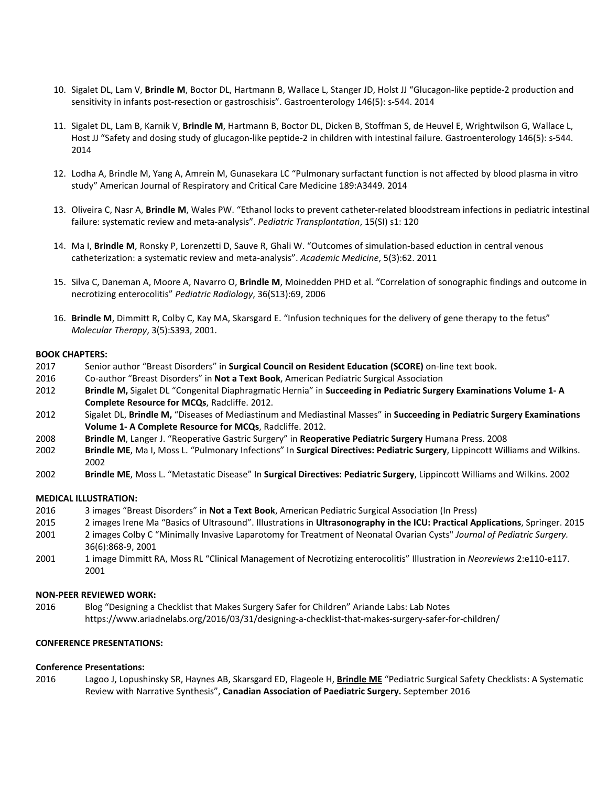- 10. Sigalet DL, Lam V, **Brindle M**, Boctor DL, Hartmann B, Wallace L, Stanger JD, Holst JJ "Glucagon-like peptide-2 production and sensitivity in infants post-resection or gastroschisis". Gastroenterology 146(5): s-544. 2014
- 11. Sigalet DL, Lam B, Karnik V, **Brindle M**, Hartmann B, Boctor DL, Dicken B, Stoffman S, de Heuvel E, Wrightwilson G, Wallace L, Host JJ "Safety and dosing study of glucagon-like peptide-2 in children with intestinal failure. Gastroenterology 146(5): s-544. 2014
- 12. Lodha A, Brindle M, Yang A, Amrein M, Gunasekara LC "Pulmonary surfactant function is not affected by blood plasma in vitro study" American Journal of Respiratory and Critical Care Medicine 189:A3449. 2014
- 13. Oliveira C, Nasr A, **Brindle M**, Wales PW. "Ethanol locks to prevent catheter-related bloodstream infections in pediatric intestinal failure: systematic review and meta-analysis". *Pediatric Transplantation*, 15(SI) s1: 120
- 14. Ma I, **Brindle M**, Ronsky P, Lorenzetti D, Sauve R, Ghali W. "Outcomes of simulation-based eduction in central venous catheterization: a systematic review and meta-analysis". *Academic Medicine*, 5(3):62. 2011
- 15. Silva C, Daneman A, Moore A, Navarro O, **Brindle M**, Moinedden PHD et al. "Correlation of sonographic findings and outcome in necrotizing enterocolitis" *Pediatric Radiology*, 36(S13):69, 2006
- 16. **Brindle M**, Dimmitt R, Colby C, Kay MA, Skarsgard E. "Infusion techniques for the delivery of gene therapy to the fetus" *Molecular Therapy*, 3(5):S393, 2001.

#### **BOOK CHAPTERS:**

- 2017 Senior author "Breast Disorders" in **Surgical Council on Resident Education (SCORE)** on-line text book.
- 2016 Co-author "Breast Disorders" in **Not a Text Book**, American Pediatric Surgical Association
- 2012 **Brindle M,** Sigalet DL "Congenital Diaphragmatic Hernia" in **Succeeding in Pediatric Surgery Examinations Volume 1- A Complete Resource for MCQs**, Radcliffe. 2012.
- 2012 Sigalet DL, **Brindle M,** "Diseases of Mediastinum and Mediastinal Masses" in **Succeeding in Pediatric Surgery Examinations Volume 1- A Complete Resource for MCQs**, Radcliffe. 2012.
- 2008 **Brindle M**, Langer J. "Reoperative Gastric Surgery" in **Reoperative Pediatric Surgery** Humana Press. 2008
- 2002 **Brindle ME**, Ma I, Moss L. "Pulmonary Infections" In **Surgical Directives: Pediatric Surgery**, Lippincott Williams and Wilkins. 2002
- 2002 **Brindle ME**, Moss L. "Metastatic Disease" In **Surgical Directives: Pediatric Surgery**, Lippincott Williams and Wilkins. 2002

#### **MEDICAL ILLUSTRATION:**

- 2016 3 images "Breast Disorders" in **Not a Text Book**, American Pediatric Surgical Association (In Press)
- 2015 2 images Irene Ma "Basics of Ultrasound". Illustrations in **Ultrasonography in the ICU: Practical Applications**, Springer. 2015
- 2001 2 images Colby C "Minimally Invasive Laparotomy for Treatment of Neonatal Ovarian Cysts" *Journal of Pediatric Surgery.*  36(6):868-9, 2001
- 2001 1 image Dimmitt RA, Moss RL "Clinical Management of Necrotizing enterocolitis" Illustration in *Neoreviews* 2:e110-e117. 2001

#### **NON-PEER REVIEWED WORK:**

2016 Blog "Designing a Checklist that Makes Surgery Safer for Children" Ariande Labs: Lab Notes https://www.ariadnelabs.org/2016/03/31/designing-a-checklist-that-makes-surgery-safer-for-children/

#### **CONFERENCE PRESENTATIONS:**

#### **Conference Presentations:**

2016 Lagoo J, Lopushinsky SR, Haynes AB, Skarsgard ED, Flageole H, **Brindle ME** "Pediatric Surgical Safety Checklists: A Systematic Review with Narrative Synthesis", **Canadian Association of Paediatric Surgery.** September 2016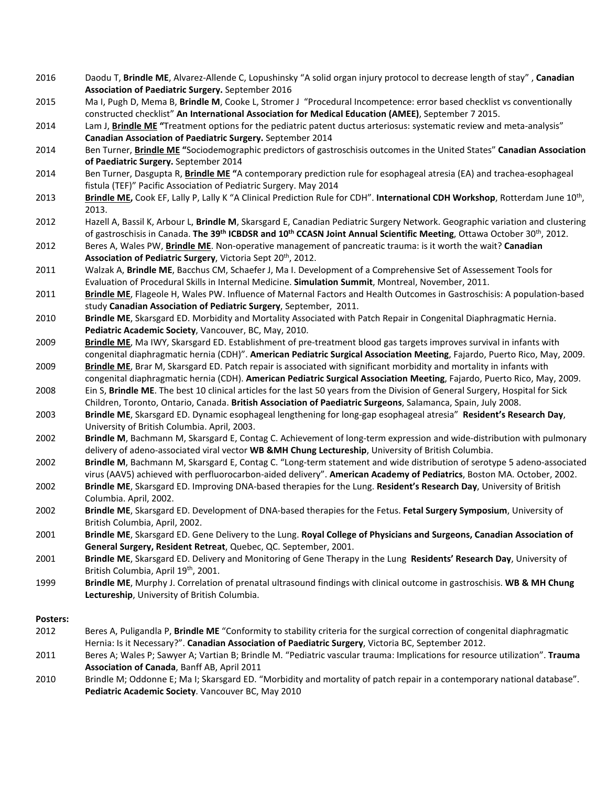- 2016 Daodu T, **Brindle ME**, Alvarez-Allende C, Lopushinsky "A solid organ injury protocol to decrease length of stay" , **Canadian Association of Paediatric Surgery.** September 2016
- 2015 Ma I, Pugh D, Mema B, **Brindle M**, Cooke L, Stromer J "Procedural Incompetence: error based checklist vs conventionally constructed checklist" **An International Association for Medical Education (AMEE)**, September 7 2015.
- 2014 Lam J, **Brindle ME "**Treatment options for the pediatric patent ductus arteriosus: systematic review and meta-analysis" **Canadian Association of Paediatric Surgery.** September 2014
- 2014 Ben Turner, **Brindle ME "**Sociodemographic predictors of gastroschisis outcomes in the United States" **Canadian Association of Paediatric Surgery.** September 2014
- 2014 Ben Turner, Dasgupta R, **Brindle ME "**A contemporary prediction rule for esophageal atresia (EA) and trachea-esophageal fistula (TEF)" Pacific Association of Pediatric Surgery. May 2014
- 2013 **Brindle ME**, Cook EF, Lally P, Lally K "A Clinical Prediction Rule for CDH". International CDH Workshop, Rotterdam June 10<sup>th</sup>, 2013.
- 2012 Hazell A, Bassil K, Arbour L, **Brindle M**, Skarsgard E, Canadian Pediatric Surgery Network. Geographic variation and clustering of gastroschisis in Canada. **The 39th ICBDSR and 10th CCASN Joint Annual Scientific Meeting**, Ottawa October 30th, 2012.
- 2012 Beres A, Wales PW, **Brindle ME**. Non-operative management of pancreatic trauma: is it worth the wait? **Canadian**  Association of Pediatric Surgery, Victoria Sept 20<sup>th</sup>, 2012.
- 2011 Walzak A, **Brindle ME**, Bacchus CM, Schaefer J, Ma I. Development of a Comprehensive Set of Assessement Tools for Evaluation of Procedural Skills in Internal Medicine. **Simulation Summit**, Montreal, November, 2011.
- 2011 **Brindle ME**, Flageole H, Wales PW. Influence of Maternal Factors and Health Outcomes in Gastroschisis: A population-based study **Canadian Association of Pediatric Surgery**, September, 2011.
- 2010 **Brindle ME**, Skarsgard ED. Morbidity and Mortality Associated with Patch Repair in Congenital Diaphragmatic Hernia. **Pediatric Academic Society**, Vancouver, BC, May, 2010.
- 2009 **Brindle ME**, Ma IWY, Skarsgard ED. Establishment of pre-treatment blood gas targets improves survival in infants with congenital diaphragmatic hernia (CDH)". **American Pediatric Surgical Association Meeting**, Fajardo, Puerto Rico, May, 2009.
- 2009 **Brindle ME**, Brar M, Skarsgard ED. Patch repair is associated with significant morbidity and mortality in infants with congenital diaphragmatic hernia (CDH). **American Pediatric Surgical Association Meeting**, Fajardo, Puerto Rico, May, 2009.
- 2008 Ein S, **Brindle ME**. The best 10 clinical articles for the last 50 years from the Division of General Surgery, Hospital for Sick Children, Toronto, Ontario, Canada. **British Association of Paediatric Surgeons**, Salamanca, Spain, July 2008.
- 2003 **Brindle ME**, Skarsgard ED. Dynamic esophageal lengthening for long-gap esophageal atresia" **Resident's Research Day**, University of British Columbia. April, 2003.
- 2002 **Brindle M**, Bachmann M, Skarsgard E, Contag C. Achievement of long-term expression and wide-distribution with pulmonary delivery of adeno-associated viral vector **WB &MH Chung Lectureship**, University of British Columbia.
- 2002 **Brindle M**, Bachmann M, Skarsgard E, Contag C. "Long-term statement and wide distribution of serotype 5 adeno-associated virus (AAV5) achieved with perfluorocarbon-aided delivery". **American Academy of Pediatrics**, Boston MA. October, 2002.
- 2002 **Brindle ME**, Skarsgard ED. Improving DNA-based therapies for the Lung. **Resident's Research Day**, University of British Columbia. April, 2002.
- 2002 **Brindle ME**, Skarsgard ED. Development of DNA-based therapies for the Fetus. **Fetal Surgery Symposium**, University of British Columbia, April, 2002.
- 2001 **Brindle ME**, Skarsgard ED. Gene Delivery to the Lung. **Royal College of Physicians and Surgeons, Canadian Association of General Surgery, Resident Retreat**, Quebec, QC. September, 2001.
- 2001 **Brindle ME**, Skarsgard ED. Delivery and Monitoring of Gene Therapy in the Lung **Residents' Research Day**, University of British Columbia, April 19<sup>th</sup>, 2001.
- 1999 **Brindle ME**, Murphy J. Correlation of prenatal ultrasound findings with clinical outcome in gastroschisis. **WB & MH Chung Lectureship**, University of British Columbia.

# **Posters:**

- 2012 Beres A, Puligandla P, **Brindle ME** "Conformity to stability criteria for the surgical correction of congenital diaphragmatic Hernia: Is it Necessary?". **Canadian Association of Paediatric Surgery**, Victoria BC, September 2012.
- 2011 Beres A; Wales P; Sawyer A; Vartian B; Brindle M. "Pediatric vascular trauma: Implications for resource utilization". **Trauma Association of Canada**, Banff AB, April 2011
- 2010 Brindle M; Oddonne E; Ma I; Skarsgard ED. "Morbidity and mortality of patch repair in a contemporary national database". **Pediatric Academic Society**. Vancouver BC, May 2010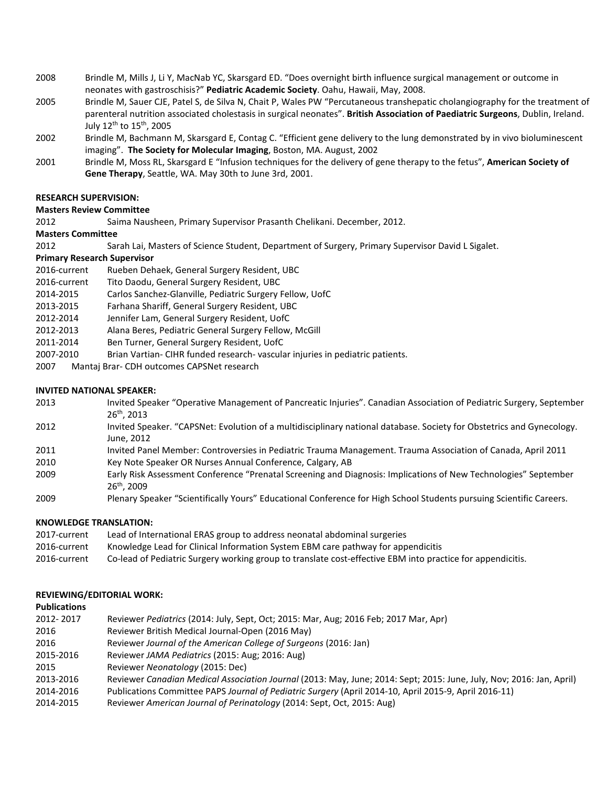- 2008 Brindle M, Mills J, Li Y, MacNab YC, Skarsgard ED. "Does overnight birth influence surgical management or outcome in neonates with gastroschisis?" **Pediatric Academic Society**. Oahu, Hawaii, May, 2008.
- 2005 Brindle M, Sauer CJE, Patel S, de Silva N, Chait P, Wales PW "Percutaneous transhepatic cholangiography for the treatment of parenteral nutrition associated cholestasis in surgical neonates". **British Association of Paediatric Surgeons**, Dublin, Ireland. July  $12^{th}$  to  $15^{th}$ , 2005
- 2002 Brindle M, Bachmann M, Skarsgard E, Contag C. "Efficient gene delivery to the lung demonstrated by in vivo bioluminescent imaging". **The Society for Molecular Imaging**, Boston, MA. August, 2002
- 2001 Brindle M, Moss RL, Skarsgard E "Infusion techniques for the delivery of gene therapy to the fetus", **American Society of Gene Therapy**, Seattle, WA. May 30th to June 3rd, 2001.

### **RESEARCH SUPERVISION:**

#### **Masters Review Committee**

2012 Saima Nausheen, Primary Supervisor Prasanth Chelikani. December, 2012.

#### **Masters Committee**

2012 Sarah Lai, Masters of Science Student, Department of Surgery, Primary Supervisor David L Sigalet.

#### **Primary Research Supervisor**

- 2016-current Rueben Dehaek, General Surgery Resident, UBC
- 2016-current Tito Daodu, General Surgery Resident, UBC
- 2014-2015 Carlos Sanchez-Glanville, Pediatric Surgery Fellow, UofC
- 2013-2015 Farhana Shariff, General Surgery Resident, UBC
- 2012-2014 Jennifer Lam, General Surgery Resident, UofC
- 2012-2013 Alana Beres, Pediatric General Surgery Fellow, McGill
- 2011-2014 Ben Turner, General Surgery Resident, UofC
- 2007-2010 Brian Vartian- CIHR funded research- vascular injuries in pediatric patients.
- 2007 Mantaj Brar- CDH outcomes CAPSNet research

#### **INVITED NATIONAL SPEAKER:**

- 2013 Invited Speaker "Operative Management of Pancreatic Injuries". Canadian Association of Pediatric Surgery, September 26th, 2013
- 2012 Invited Speaker. "CAPSNet: Evolution of a multidisciplinary national database. Society for Obstetrics and Gynecology. June, 2012
- 2011 Invited Panel Member: Controversies in Pediatric Trauma Management. Trauma Association of Canada, April 2011
- 2010 Key Note Speaker OR Nurses Annual Conference, Calgary, AB
- 2009 Early Risk Assessment Conference "Prenatal Screening and Diagnosis: Implications of New Technologies" September 26th, 2009
- 2009 Plenary Speaker "Scientifically Yours" Educational Conference for High School Students pursuing Scientific Careers.

#### **KNOWLEDGE TRANSLATION:**

| 2017-current | Lead of International ERAS group to address neonatal abdominal surgeries                                   |
|--------------|------------------------------------------------------------------------------------------------------------|
| 2016-current | Knowledge Lead for Clinical Information System EBM care pathway for appendicitis                           |
| 2016-current | Co-lead of Pediatric Surgery working group to translate cost-effective EBM into practice for appendicitis. |

#### **REVIEWING/EDITORIAL WORK:**

#### **Publications**

| 2012-2017 | Reviewer Pediatrics (2014: July, Sept, Oct; 2015: Mar, Aug; 2016 Feb; 2017 Mar, Apr)                                 |
|-----------|----------------------------------------------------------------------------------------------------------------------|
| 2016      | Reviewer British Medical Journal-Open (2016 May)                                                                     |
| 2016      | Reviewer Journal of the American College of Surgeons (2016: Jan)                                                     |
| 2015-2016 | Reviewer JAMA Pediatrics (2015: Aug; 2016: Aug)                                                                      |
| 2015      | Reviewer Neonatology (2015: Dec)                                                                                     |
| 2013-2016 | Reviewer Canadian Medical Association Journal (2013: May, June; 2014: Sept; 2015: June, July, Nov; 2016: Jan, April) |
| 2014-2016 | Publications Committee PAPS Journal of Pediatric Surgery (April 2014-10, April 2015-9, April 2016-11)                |
| 2014-2015 | Reviewer American Journal of Perinatology (2014: Sept, Oct, 2015: Aug)                                               |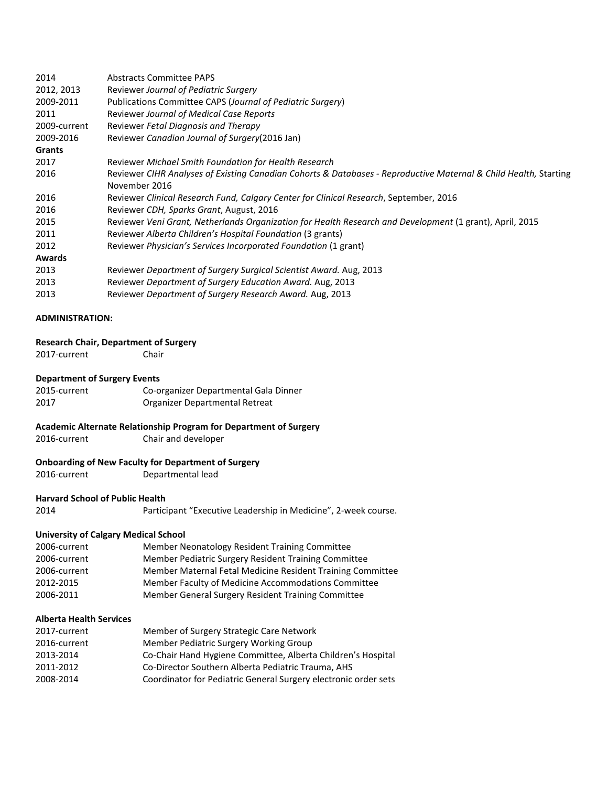| 2014                   | <b>Abstracts Committee PAPS</b>                                                                                  |
|------------------------|------------------------------------------------------------------------------------------------------------------|
| 2012, 2013             | Reviewer Journal of Pediatric Surgery                                                                            |
| 2009-2011              | Publications Committee CAPS (Journal of Pediatric Surgery)                                                       |
| 2011                   | <b>Reviewer Journal of Medical Case Reports</b>                                                                  |
| 2009-current           | Reviewer Fetal Diagnosis and Therapy                                                                             |
| 2009-2016              | Reviewer Canadian Journal of Surgery (2016 Jan)                                                                  |
| Grants                 |                                                                                                                  |
| 2017                   | Reviewer Michael Smith Foundation for Health Research                                                            |
| 2016                   | Reviewer CIHR Analyses of Existing Canadian Cohorts & Databases - Reproductive Maternal & Child Health, Starting |
|                        | November 2016                                                                                                    |
| 2016                   | Reviewer Clinical Research Fund, Calgary Center for Clinical Research, September, 2016                           |
| 2016                   | Reviewer CDH, Sparks Grant, August, 2016                                                                         |
| 2015                   | Reviewer Veni Grant, Netherlands Organization for Health Research and Development (1 grant), April, 2015         |
| 2011                   | Reviewer Alberta Children's Hospital Foundation (3 grants)                                                       |
| 2012                   | Reviewer Physician's Services Incorporated Foundation (1 grant)                                                  |
| <b>Awards</b>          |                                                                                                                  |
| 2013                   | Reviewer Department of Surgery Surgical Scientist Award. Aug, 2013                                               |
| 2013                   | Reviewer Department of Surgery Education Award. Aug, 2013                                                        |
| 2013                   | Reviewer Department of Surgery Research Award. Aug, 2013                                                         |
|                        |                                                                                                                  |
| <b>ADMINISTRATION:</b> |                                                                                                                  |

# **Research Chair, Department of Surgery**

2017-current Chair

#### **Department of Surgery Events**

| 2015-current | Co-organizer Departmental Gala Dinner |
|--------------|---------------------------------------|
| 2017         | Organizer Departmental Retreat        |

# **Academic Alternate Relationship Program for Department of Surgery**

2016-current Chair and developer

#### **Onboarding of New Faculty for Department of Surgery**

2016-current Departmental lead

# **Harvard School of Public Health**<br>2014 **Partici**

Participant "Executive Leadership in Medicine", 2-week course.

### **University of Calgary Medical School**

| Member Neonatology Resident Training Committee             |
|------------------------------------------------------------|
| Member Pediatric Surgery Resident Training Committee       |
| Member Maternal Fetal Medicine Resident Training Committee |
| Member Faculty of Medicine Accommodations Committee        |
| Member General Surgery Resident Training Committee         |
|                                                            |

### **Alberta Health Services**

| Member of Surgery Strategic Care Network                        |
|-----------------------------------------------------------------|
| Member Pediatric Surgery Working Group                          |
| Co-Chair Hand Hygiene Committee, Alberta Children's Hospital    |
| Co-Director Southern Alberta Pediatric Trauma, AHS              |
| Coordinator for Pediatric General Surgery electronic order sets |
|                                                                 |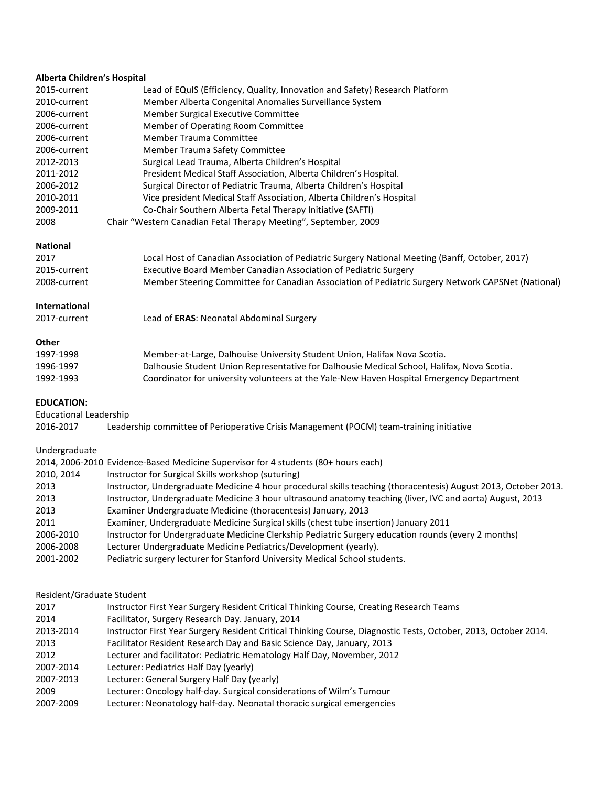### **Alberta Children's Hospital**

| 2015-current | Lead of EQuIS (Efficiency, Quality, Innovation and Safety) Research Platform |  |
|--------------|------------------------------------------------------------------------------|--|
| 2010-current | Member Alberta Congenital Anomalies Surveillance System                      |  |
| 2006-current | Member Surgical Executive Committee                                          |  |
| 2006-current | Member of Operating Room Committee                                           |  |
| 2006-current | <b>Member Trauma Committee</b>                                               |  |
| 2006-current | Member Trauma Safety Committee                                               |  |
| 2012-2013    | Surgical Lead Trauma, Alberta Children's Hospital                            |  |
| 2011-2012    | President Medical Staff Association, Alberta Children's Hospital.            |  |
| 2006-2012    | Surgical Director of Pediatric Trauma, Alberta Children's Hospital           |  |
| 2010-2011    | Vice president Medical Staff Association, Alberta Children's Hospital        |  |
| 2009-2011    | Co-Chair Southern Alberta Fetal Therapy Initiative (SAFTI)                   |  |
| 2008         | Chair "Western Canadian Fetal Therapy Meeting", September, 2009              |  |

# **National**

| 2017         | Local Host of Canadian Association of Pediatric Surgery National Meeting (Banff, October, 2017)    |
|--------------|----------------------------------------------------------------------------------------------------|
| 2015-current | Executive Board Member Canadian Association of Pediatric Surgery                                   |
| 2008-current | Member Steering Committee for Canadian Association of Pediatric Surgery Network CAPSNet (National) |

#### **International**

| 2017-current | Lead of ERAS: Neonatal Abdominal Surgery |
|--------------|------------------------------------------|
|--------------|------------------------------------------|

# **Other**

| 1997-1998 | Member-at-Large, Dalhouise University Student Union, Halifax Nova Scotia.                  |
|-----------|--------------------------------------------------------------------------------------------|
| 1996-1997 | Dalhousie Student Union Representative for Dalhousie Medical School, Halifax, Nova Scotia. |
| 1992-1993 | Coordinator for university volunteers at the Yale-New Haven Hospital Emergency Department  |

#### **EDUCATION:**

Educational Leadership

| 2016-2017 |  |  |  | Leadership committee of Perioperative Crisis Management (POCM) team-training initiative |
|-----------|--|--|--|-----------------------------------------------------------------------------------------|
|-----------|--|--|--|-----------------------------------------------------------------------------------------|

# Undergraduate

|            | 2014, 2006-2010 Evidence-Based Medicine Supervisor for 4 students (80+ hours each)                              |
|------------|-----------------------------------------------------------------------------------------------------------------|
| 2010, 2014 | Instructor for Surgical Skills workshop (suturing)                                                              |
| 2013       | Instructor, Undergraduate Medicine 4 hour procedural skills teaching (thoracentesis) August 2013, October 2013. |
| 2013       | Instructor, Undergraduate Medicine 3 hour ultrasound anatomy teaching (liver, IVC and aorta) August, 2013       |
| 2013       | Examiner Undergraduate Medicine (thoracentesis) January, 2013                                                   |
| 2011       | Examiner, Undergraduate Medicine Surgical skills (chest tube insertion) January 2011                            |
| 2006-2010  | Instructor for Undergraduate Medicine Clerkship Pediatric Surgery education rounds (every 2 months)             |
| 2006-2008  | Lecturer Undergraduate Medicine Pediatrics/Development (yearly).                                                |
| 2001-2002  | Pediatric surgery lecturer for Stanford University Medical School students.                                     |

#### Resident/Graduate Student

| 2017      | Instructor First Year Surgery Resident Critical Thinking Course, Creating Research Teams                        |
|-----------|-----------------------------------------------------------------------------------------------------------------|
| 2014      | Facilitator, Surgery Research Day. January, 2014                                                                |
| 2013-2014 | Instructor First Year Surgery Resident Critical Thinking Course, Diagnostic Tests, October, 2013, October 2014. |
| 2013      | Facilitator Resident Research Day and Basic Science Day, January, 2013                                          |
| 2012      | Lecturer and facilitator: Pediatric Hematology Half Day, November, 2012                                         |
| 2007-2014 | Lecturer: Pediatrics Half Day (yearly)                                                                          |
| 2007-2013 | Lecturer: General Surgery Half Day (yearly)                                                                     |
| 2009      | Lecturer: Oncology half-day. Surgical considerations of Wilm's Tumour                                           |
| 2007-2009 | Lecturer: Neonatology half-day. Neonatal thoracic surgical emergencies                                          |